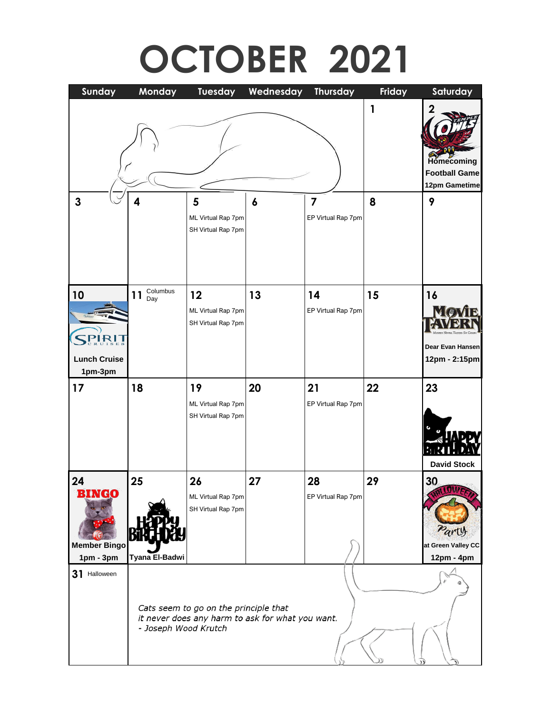# **OCTOBER 2021**

| Sunday                                                   | Monday               | Tuesday                                                                                   | Wednesday        | <b>Thursday</b>                               | Friday | Saturday                                                 |
|----------------------------------------------------------|----------------------|-------------------------------------------------------------------------------------------|------------------|-----------------------------------------------|--------|----------------------------------------------------------|
| $\mathbf{3}$                                             | 4                    | 5<br>ML Virtual Rap 7pm<br>SH Virtual Rap 7pm                                             | $\boldsymbol{6}$ | $\overline{\mathbf{z}}$<br>EP Virtual Rap 7pm | 1<br>8 | Homecoming<br><b>Football Game</b><br>12pm Gametime<br>9 |
| 10                                                       | Columbus<br>11       | 12                                                                                        | 13               | 14                                            | 15     | 16                                                       |
| <b>Lunch Cruise</b>                                      | Day                  | ML Virtual Rap 7pm<br>SH Virtual Rap 7pm                                                  |                  | EP Virtual Rap 7pm                            |        | Dear Evan Hansen<br>12pm - 2:15pm                        |
| 1pm-3pm                                                  |                      |                                                                                           |                  |                                               |        |                                                          |
| 17                                                       | 18                   | 19<br>ML Virtual Rap 7pm<br>SH Virtual Rap 7pm                                            | 20               | 21<br>EP Virtual Rap 7pm                      | 22     | 23<br><b>David Stock</b>                                 |
| 24<br><b>BINGO</b><br><b>Member Bingo</b><br>$1pm - 3pm$ | 25<br>Tyana El-Badwi | 26<br>ML Virtual Rap 7pm<br>SH Virtual Rap 7pm                                            | 27               | 28<br>EP Virtual Rap 7pm                      | 29     | 30<br>Party<br>at Green Valley CC<br>12pm - 4pm          |
| 31 Halloween                                             | - Joseph Wood Krutch | Cats seem to go on the principle that<br>it never does any harm to ask for what you want. |                  |                                               |        |                                                          |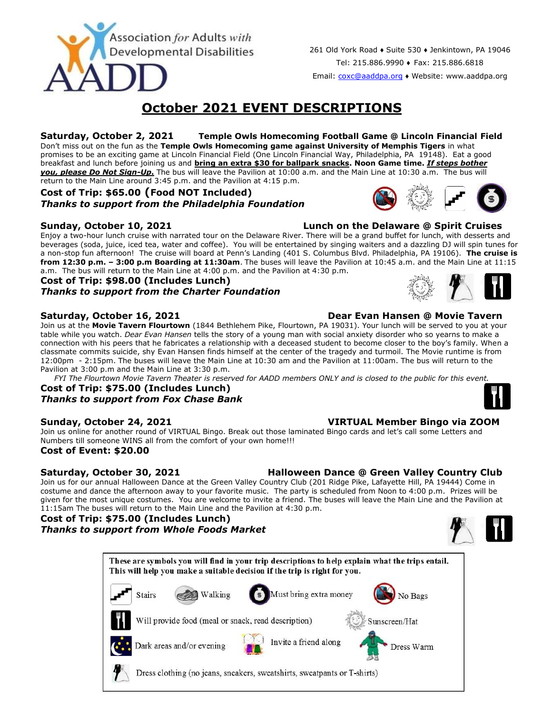

261 Old York Road ♦ Suite 530 ♦ Jenkintown, PA 19046 Tel: 215.886.9990 ♦ Fax: 215.886.6818

Email: [coxc@aaddpa.org](mailto:coxc@aaddpa.org) ♦ Website: www.aaddpa.org

# **October 2021 EVENT DESCRIPTIONS**

### **Saturday, October 2, 2021 Temple Owls Homecoming Football Game @ Lincoln Financial Field** Don't miss out on the fun as the **Temple Owls Homecoming game against University of Memphis Tigers** in what

promises to be an exciting game at Lincoln Financial Field (One Lincoln Financial Way, Philadelphia, PA 19148). Eat a good breakfast and lunch before joining us and **bring an extra \$30 for ballpark snacks. Noon Game time.** *If steps bother you, please Do Not Sign-Up***.** The bus will leave the Pavilion at 10:00 a.m. and the Main Line at 10:30 a.m. The bus will return to the Main Line around 3:45 p.m. and the Pavilion at 4:15 p.m.

## **Cost of Trip: \$65.00 (Food NOT Included)** *Thanks to support from the Philadelphia Foundation*

**Sunday, October 10, 2021 Lunch on the Delaware @ Spirit Cruises**

Enjoy a two-hour lunch cruise with narrated tour on the Delaware River. There will be a grand buffet for lunch, with desserts and beverages (soda, juice, iced tea, water and coffee). You will be entertained by singing waiters and a dazzling DJ will spin tunes for a non-stop fun afternoon! The cruise will board at Penn's Landing (401 S. Columbus Blvd. Philadelphia, PA 19106). **The cruise is from 12:30 p.m. – 3:00 p.m Boarding at 11:30am**. The buses will leave the Pavilion at 10:45 a.m. and the Main Line at 11:15 a.m. The bus will return to the Main Line at 4:00 p.m. and the Pavilion at 4:30 p.m.

# **Cost of Trip: \$98.00 (Includes Lunch)** *Thanks to support from the Charter Foundation*

Join us at the **Movie Tavern Flourtown** (1844 Bethlehem Pike, Flourtown, PA 19031). Your lunch will be served to you at your table while you watch. *Dear Evan Hansen* tells the story of a young man with social anxiety disorder who so yearns to make a connection with his peers that he fabricates a relationship with a deceased student to become closer to the boy's family. When a classmate commits suicide, shy Evan Hansen finds himself at the center of the tragedy and turmoil. The Movie runtime is from 12:00pm - 2:15pm. The buses will leave the Main Line at 10:30 am and the Pavilion at 11:00am. The bus will return to the Pavilion at 3:00 p.m and the Main Line at 3:30 p.m.

*FYI The Flourtown Movie Tavern Theater is reserved for AADD members ONLY and is closed to the public for this event.*

## **Cost of Trip: \$75.00 (Includes Lunch)** *Thanks to support from Fox Chase Bank*

# **Sunday, October 24, 2021 VIRTUAL Member Bingo via ZOOM**

Join us online for another round of VIRTUAL Bingo. Break out those laminated Bingo cards and let's call some Letters and Numbers till someone WINS all from the comfort of your own home!!! **Cost of Event: \$20.00**

**Saturday, October 30, 2021 Halloween Dance @ Green Valley Country Club** Join us for our annual Halloween Dance at the Green Valley Country Club (201 Ridge Pike, Lafayette Hill, PA 19444) Come in costume and dance the afternoon away to your favorite music. The party is scheduled from Noon to 4:00 p.m. Prizes will be given for the most unique costumes. You are welcome to invite a friend. The buses will leave the Main Line and the Pavilion at 11:15am The buses will return to the Main Line and the Pavilion at 4:30 p.m.

# **Cost of Trip: \$75.00 (Includes Lunch)**

*Thanks to support from Whole Foods Market*



| These are symbols you will find in your trip descriptions to help explain what the trips entail.<br>This will help you make a suitable decision if the trip is right for you. |  |  |  |  |  |  |  |
|-------------------------------------------------------------------------------------------------------------------------------------------------------------------------------|--|--|--|--|--|--|--|
| Must bring extra money<br><b>Walking</b><br><b>Stairs</b><br>No Bags                                                                                                          |  |  |  |  |  |  |  |
| Will provide food (meal or snack, read description)<br>Sunscreen/Hat                                                                                                          |  |  |  |  |  |  |  |
| Invite a friend along<br>Dark areas and/or evening<br>Dress Warm                                                                                                              |  |  |  |  |  |  |  |
| Dress clothing (no jeans, sneakers, sweatshirts, sweatpants or T-shirts)                                                                                                      |  |  |  |  |  |  |  |



## **Saturday, October 16, 2021 Dear Evan Hansen @ Movie Tavern**